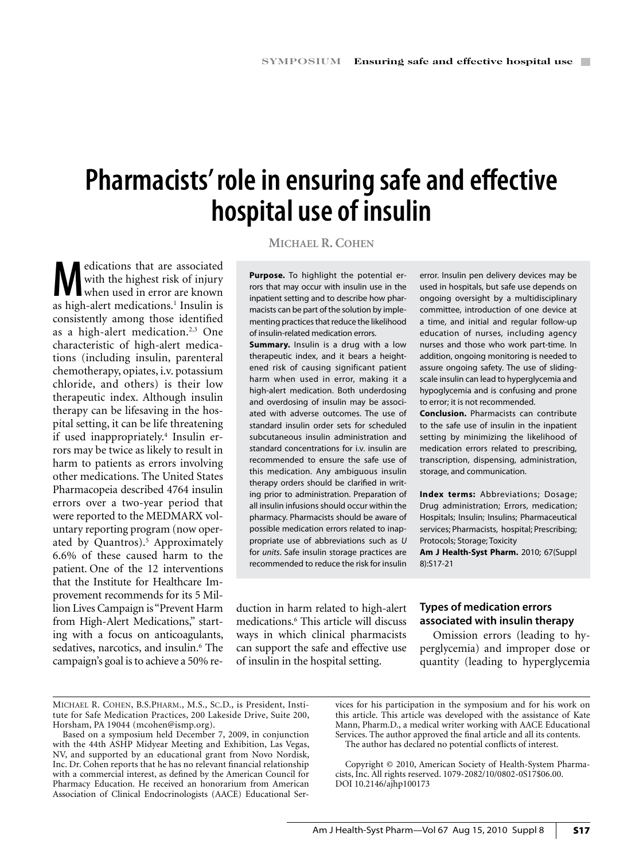# **Pharmacists' role in ensuring safe and effective hospital use of insulin**

Medications that are associated<br>with the highest risk of injury<br>when used in error are known<br>as high-alert medications<sup>1</sup> Insulin is with the highest risk of injury when used in error are known as high-alert medications.<sup>1</sup> Insulin is consistently among those identified as a high-alert medication.2,3 One characteristic of high-alert medications (including insulin, parenteral chemotherapy, opiates, i.v. potassium chloride, and others) is their low therapeutic index. Although insulin therapy can be lifesaving in the hospital setting, it can be life threatening if used inappropriately.4 Insulin errors may be twice as likely to result in harm to patients as errors involving other medications. The United States Pharmacopeia described 4764 insulin errors over a two-year period that were reported to the MEDMARX voluntary reporting program (now operated by Quantros).<sup>5</sup> Approximately 6.6% of these caused harm to the patient. One of the 12 interventions that the Institute for Healthcare Improvement recommends for its 5 Million Lives Campaign is "Prevent Harm from High-Alert Medications," starting with a focus on anticoagulants, sedatives, narcotics, and insulin.<sup>6</sup> The campaign's goal is to achieve a 50% re-

## **Michael R. Cohen**

**Purpose.** To highlight the potential errors that may occur with insulin use in the inpatient setting and to describe how pharmacists can be part of the solution by implementing practices that reduce the likelihood of insulin-related medication errors.

**Summary.** Insulin is a drug with a low therapeutic index, and it bears a heightened risk of causing significant patient harm when used in error, making it a high-alert medication. Both underdosing and overdosing of insulin may be associated with adverse outcomes. The use of standard insulin order sets for scheduled subcutaneous insulin administration and standard concentrations for i.v. insulin are recommended to ensure the safe use of this medication. Any ambiguous insulin therapy orders should be clarified in writing prior to administration. Preparation of all insulin infusions should occur within the pharmacy. Pharmacists should be aware of possible medication errors related to inappropriate use of abbreviations such as *U* for *units*. Safe insulin storage practices are recommended to reduce the risk for insulin

duction in harm related to high-alert medications.6 This article will discuss ways in which clinical pharmacists can support the safe and effective use of insulin in the hospital setting.

error. Insulin pen delivery devices may be used in hospitals, but safe use depends on ongoing oversight by a multidisciplinary committee, introduction of one device at a time, and initial and regular follow-up education of nurses, including agency nurses and those who work part-time. In addition, ongoing monitoring is needed to assure ongoing safety. The use of slidingscale insulin can lead to hyperglycemia and hypoglycemia and is confusing and prone to error; it is not recommended.

**Conclusion.** Pharmacists can contribute to the safe use of insulin in the inpatient setting by minimizing the likelihood of medication errors related to prescribing, transcription, dispensing, administration, storage, and communication.

**Index terms:** Abbreviations; Dosage; Drug administration; Errors, medication; Hospitals; Insulin; Insulins; Pharmaceutical services; Pharmacists, hospital; Prescribing; Protocols; Storage; Toxicity

**Am J Health-Syst Pharm.** 2010; 67(Suppl 8):S17-21

# **Types of medication errors associated with insulin therapy**

Omission errors (leading to hyperglycemia) and improper dose or quantity (leading to hyperglycemia

vices for his participation in the symposium and for his work on this article. This article was developed with the assistance of Kate Mann, Pharm.D., a medical writer working with AACE Educational Services. The author approved the final article and all its contents. The author has declared no potential conflicts of interest.

Copyright © 2010, American Society of Health-System Pharmacists, Inc. All rights reserved. 1079-2082/10/0802-0S17\$06.00. DOI 10.2146/ajhp100173

Michael R. Cohen, B.S.Pharm., M.S., Sc.D., is President, Institute for Safe Medication Practices, 200 Lakeside Drive, Suite 200, Horsham, PA 19044 (mcohen@ismp.org).

Based on a symposium held December 7, 2009, in conjunction with the 44th ASHP Midyear Meeting and Exhibition, Las Vegas, NV, and supported by an educational grant from Novo Nordisk, Inc. Dr. Cohen reports that he has no relevant financial relationship with a commercial interest, as defined by the American Council for Pharmacy Education. He received an honorarium from American Association of Clinical Endocrinologists (AACE) Educational Ser-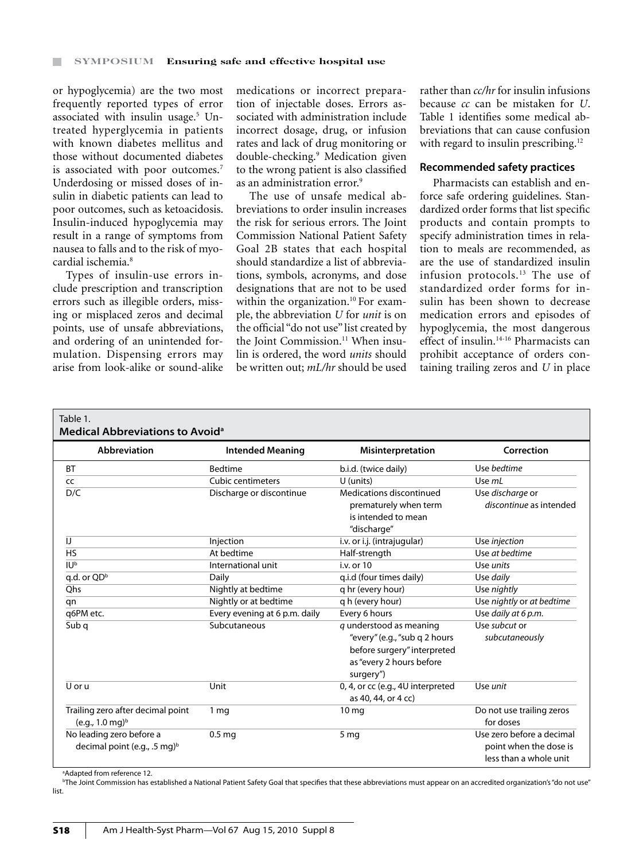or hypoglycemia) are the two most frequently reported types of error associated with insulin usage.<sup>5</sup> Untreated hyperglycemia in patients with known diabetes mellitus and those without documented diabetes is associated with poor outcomes.<sup>7</sup> Underdosing or missed doses of insulin in diabetic patients can lead to poor outcomes, such as ketoacidosis. Insulin-induced hypoglycemia may result in a range of symptoms from nausea to falls and to the risk of myocardial ischemia.8

Types of insulin-use errors include prescription and transcription errors such as illegible orders, missing or misplaced zeros and decimal points, use of unsafe abbreviations, and ordering of an unintended formulation. Dispensing errors may arise from look-alike or sound-alike medications or incorrect preparation of injectable doses. Errors associated with administration include incorrect dosage, drug, or infusion rates and lack of drug monitoring or double-checking.9 Medication given to the wrong patient is also classified as an administration error.<sup>9</sup>

The use of unsafe medical abbreviations to order insulin increases the risk for serious errors. The Joint Commission National Patient Safety Goal 2B states that each hospital should standardize a list of abbreviations, symbols, acronyms, and dose designations that are not to be used within the organization.<sup>10</sup> For example, the abbreviation *U* for *unit* is on the official "do not use" list created by the Joint Commission.<sup>11</sup> When insulin is ordered, the word *units* should be written out; *mL/hr* should be used

rather than *cc/hr* for insulin infusions because *cc* can be mistaken for *U*. Table 1 identifies some medical abbreviations that can cause confusion with regard to insulin prescribing.<sup>12</sup>

#### **Recommended safety practices**

Pharmacists can establish and enforce safe ordering guidelines. Standardized order forms that list specific products and contain prompts to specify administration times in relation to meals are recommended, as are the use of standardized insulin infusion protocols.13 The use of standardized order forms for insulin has been shown to decrease medication errors and episodes of hypoglycemia, the most dangerous effect of insulin.14-16 Pharmacists can prohibit acceptance of orders containing trailing zeros and *U* in place

| Abbreviation                                                                | <b>Intended Meaning</b>       | Misinterpretation                                                                                                                  | Correction                                                                    |
|-----------------------------------------------------------------------------|-------------------------------|------------------------------------------------------------------------------------------------------------------------------------|-------------------------------------------------------------------------------|
| <b>BT</b>                                                                   | <b>Bedtime</b>                | b.i.d. (twice daily)                                                                                                               | Use bedtime                                                                   |
| cc                                                                          | Cubic centimeters             | U (units)                                                                                                                          | Use mL                                                                        |
| D/C                                                                         | Discharge or discontinue      | Medications discontinued<br>prematurely when term<br>is intended to mean<br>"discharge"                                            | Use discharge or<br>discontinue as intended                                   |
| IJ                                                                          | Injection                     | i.v. or i.j. (intrajugular)                                                                                                        | Use injection                                                                 |
| <b>HS</b>                                                                   | At bedtime                    | Half-strength                                                                                                                      | Use at bedtime                                                                |
| IUb                                                                         | International unit            | i.v. or $10$                                                                                                                       | Use <i>units</i>                                                              |
| q.d. or QD <sup>b</sup>                                                     | Daily                         | q.i.d (four times daily)                                                                                                           | Use daily                                                                     |
| Ohs                                                                         | Nightly at bedtime            | q hr (every hour)                                                                                                                  | Use nightly                                                                   |
| qn                                                                          | Nightly or at bedtime         | q h (every hour)                                                                                                                   | Use nightly or at bedtime                                                     |
| q6PM etc.                                                                   | Every evening at 6 p.m. daily | Every 6 hours                                                                                                                      | Use daily at 6 p.m.                                                           |
| Sub q                                                                       | Subcutaneous                  | $q$ understood as meaning<br>"every" (e.g., "sub q 2 hours<br>before surgery" interpreted<br>as "every 2 hours before<br>surgery") | Use subcut or<br>subcutaneously                                               |
| U or u                                                                      | Unit                          | 0, 4, or cc (e.g., 4U interpreted<br>as 40, 44, or 4 cc)                                                                           | Use unit                                                                      |
| Trailing zero after decimal point<br>(e.g., $1.0 \text{ mg}$ ) <sup>b</sup> | 1 <sub>mq</sub>               | 10 <sub>mg</sub>                                                                                                                   | Do not use trailing zeros<br>for doses                                        |
| No leading zero before a<br>decimal point (e.g., .5 mg) <sup>b</sup>        | 0.5 <sub>mg</sub>             | 5 <sub>mg</sub>                                                                                                                    | Use zero before a decimal<br>point when the dose is<br>less than a whole unit |

<sup>a</sup>Adapted from reference 12.

b The Joint Commission has established a National Patient Safety Goal that specifies that these abbreviations must appear on an accredited organization's "do not use" list.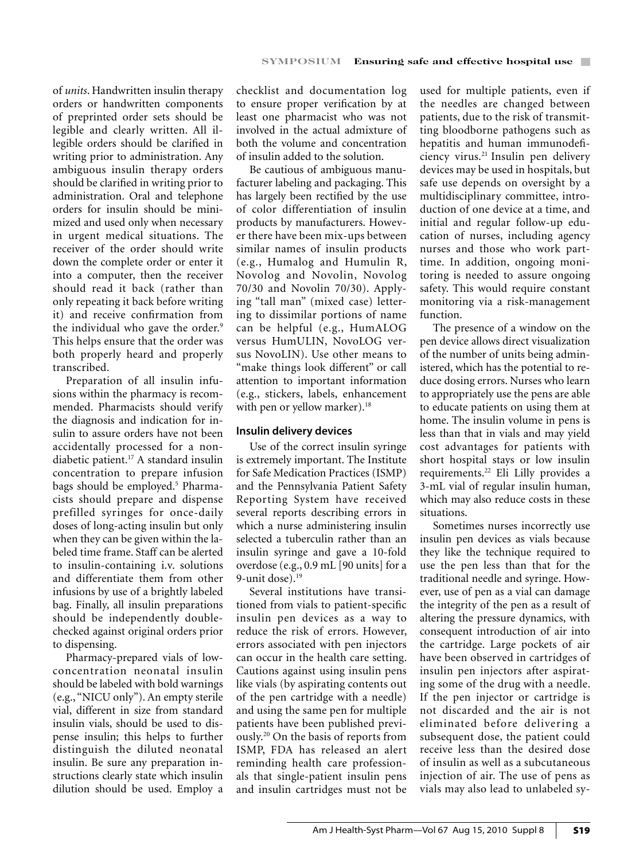of *units*. Handwritten insulin therapy orders or handwritten components of preprinted order sets should be legible and clearly written. All illegible orders should be clarified in writing prior to administration. Any ambiguous insulin therapy orders should be clarified in writing prior to administration. Oral and telephone orders for insulin should be minimized and used only when necessary in urgent medical situations. The receiver of the order should write down the complete order or enter it into a computer, then the receiver should read it back (rather than only repeating it back before writing it) and receive confirmation from the individual who gave the order.<sup>9</sup> This helps ensure that the order was both properly heard and properly transcribed.

Preparation of all insulin infusions within the pharmacy is recommended. Pharmacists should verify the diagnosis and indication for insulin to assure orders have not been accidentally processed for a nondiabetic patient.17 A standard insulin concentration to prepare infusion bags should be employed.<sup>5</sup> Pharmacists should prepare and dispense prefilled syringes for once-daily doses of long-acting insulin but only when they can be given within the labeled time frame. Staff can be alerted to insulin-containing i.v. solutions and differentiate them from other infusions by use of a brightly labeled bag. Finally, all insulin preparations should be independently doublechecked against original orders prior to dispensing.

Pharmacy-prepared vials of lowconcentration neonatal insulin should be labeled with bold warnings (e.g., "NICU only"). An empty sterile vial, different in size from standard insulin vials, should be used to dispense insulin; this helps to further distinguish the diluted neonatal insulin. Be sure any preparation instructions clearly state which insulin dilution should be used. Employ a checklist and documentation log to ensure proper verification by at least one pharmacist who was not involved in the actual admixture of both the volume and concentration of insulin added to the solution.

Be cautious of ambiguous manufacturer labeling and packaging. This has largely been rectified by the use of color differentiation of insulin products by manufacturers. However there have been mix-ups between similar names of insulin products (e.g., Humalog and Humulin R, Novolog and Novolin, Novolog 70/30 and Novolin 70/30). Applying "tall man" (mixed case) lettering to dissimilar portions of name can be helpful (e.g., HumALOG versus HumULIN, NovoLOG versus NovoLIN). Use other means to "make things look different" or call attention to important information (e.g., stickers, labels, enhancement with pen or yellow marker).<sup>18</sup>

## **Insulin delivery devices**

Use of the correct insulin syringe is extremely important. The Institute for Safe Medication Practices (ISMP) and the Pennsylvania Patient Safety Reporting System have received several reports describing errors in which a nurse administering insulin selected a tuberculin rather than an insulin syringe and gave a 10-fold overdose (e.g., 0.9 mL [90 units] for a 9-unit dose).<sup>19</sup>

Several institutions have transitioned from vials to patient-specific insulin pen devices as a way to reduce the risk of errors. However, errors associated with pen injectors can occur in the health care setting. Cautions against using insulin pens like vials (by aspirating contents out of the pen cartridge with a needle) and using the same pen for multiple patients have been published previously.20 On the basis of reports from ISMP, FDA has released an alert reminding health care professionals that single-patient insulin pens and insulin cartridges must not be

used for multiple patients, even if the needles are changed between patients, due to the risk of transmitting bloodborne pathogens such as hepatitis and human immunodeficiency virus.21 Insulin pen delivery devices may be used in hospitals, but safe use depends on oversight by a multidisciplinary committee, introduction of one device at a time, and initial and regular follow-up education of nurses, including agency nurses and those who work parttime. In addition, ongoing monitoring is needed to assure ongoing safety. This would require constant monitoring via a risk-management function.

The presence of a window on the pen device allows direct visualization of the number of units being administered, which has the potential to reduce dosing errors. Nurses who learn to appropriately use the pens are able to educate patients on using them at home. The insulin volume in pens is less than that in vials and may yield cost advantages for patients with short hospital stays or low insulin requirements.22 Eli Lilly provides a 3-mL vial of regular insulin human, which may also reduce costs in these situations.

Sometimes nurses incorrectly use insulin pen devices as vials because they like the technique required to use the pen less than that for the traditional needle and syringe. However, use of pen as a vial can damage the integrity of the pen as a result of altering the pressure dynamics, with consequent introduction of air into the cartridge. Large pockets of air have been observed in cartridges of insulin pen injectors after aspirating some of the drug with a needle. If the pen injector or cartridge is not discarded and the air is not eliminated before delivering a subsequent dose, the patient could receive less than the desired dose of insulin as well as a subcutaneous injection of air. The use of pens as vials may also lead to unlabeled sy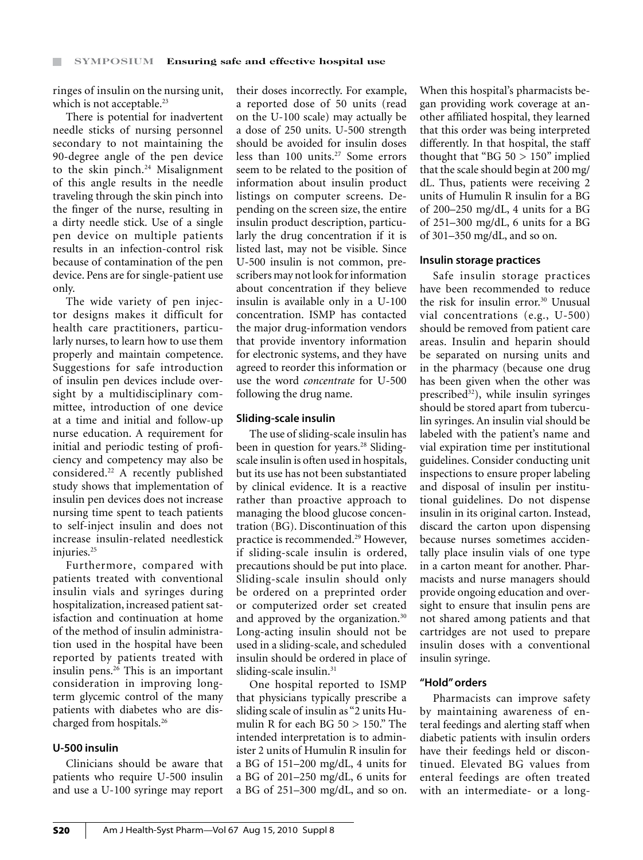ringes of insulin on the nursing unit, which is not acceptable.<sup>23</sup>

There is potential for inadvertent needle sticks of nursing personnel secondary to not maintaining the 90-degree angle of the pen device to the skin pinch.<sup>24</sup> Misalignment of this angle results in the needle traveling through the skin pinch into the finger of the nurse, resulting in a dirty needle stick. Use of a single pen device on multiple patients results in an infection-control risk because of contamination of the pen device. Pens are for single-patient use only.

The wide variety of pen injector designs makes it difficult for health care practitioners, particularly nurses, to learn how to use them properly and maintain competence. Suggestions for safe introduction of insulin pen devices include oversight by a multidisciplinary committee, introduction of one device at a time and initial and follow-up nurse education. A requirement for initial and periodic testing of proficiency and competency may also be considered.22 A recently published study shows that implementation of insulin pen devices does not increase nursing time spent to teach patients to self-inject insulin and does not increase insulin-related needlestick injuries.<sup>25</sup>

Furthermore, compared with patients treated with conventional insulin vials and syringes during hospitalization, increased patient satisfaction and continuation at home of the method of insulin administration used in the hospital have been reported by patients treated with insulin pens.26 This is an important consideration in improving longterm glycemic control of the many patients with diabetes who are discharged from hospitals.26

#### **U-500 insulin**

Clinicians should be aware that patients who require U-500 insulin and use a U-100 syringe may report their doses incorrectly. For example, a reported dose of 50 units (read on the U-100 scale) may actually be a dose of 250 units. U-500 strength should be avoided for insulin doses less than 100 units.<sup>27</sup> Some errors seem to be related to the position of information about insulin product listings on computer screens. Depending on the screen size, the entire insulin product description, particularly the drug concentration if it is listed last, may not be visible. Since U-500 insulin is not common, prescribers may not look for information about concentration if they believe insulin is available only in a U-100 concentration. ISMP has contacted the major drug-information vendors that provide inventory information for electronic systems, and they have agreed to reorder this information or use the word *concentrate* for U-500 following the drug name.

#### **Sliding-scale insulin**

The use of sliding-scale insulin has been in question for years.<sup>28</sup> Slidingscale insulin is often used in hospitals, but its use has not been substantiated by clinical evidence. It is a reactive rather than proactive approach to managing the blood glucose concentration (BG). Discontinuation of this practice is recommended.29 However, if sliding-scale insulin is ordered, precautions should be put into place. Sliding-scale insulin should only be ordered on a preprinted order or computerized order set created and approved by the organization.<sup>30</sup> Long-acting insulin should not be used in a sliding-scale, and scheduled insulin should be ordered in place of sliding-scale insulin.<sup>31</sup>

One hospital reported to ISMP that physicians typically prescribe a sliding scale of insulin as "2 units Humulin R for each BG  $50 > 150$ ." The intended interpretation is to administer 2 units of Humulin R insulin for a BG of 151–200 mg/dL, 4 units for a BG of 201–250 mg/dL, 6 units for a BG of 251–300 mg/dL, and so on.

When this hospital's pharmacists began providing work coverage at another affiliated hospital, they learned that this order was being interpreted differently. In that hospital, the staff thought that "BG  $50 > 150$ " implied that the scale should begin at 200 mg/ dL. Thus, patients were receiving 2 units of Humulin R insulin for a BG of 200–250 mg/dL, 4 units for a BG of 251–300 mg/dL, 6 units for a BG of 301–350 mg/dL, and so on.

#### **Insulin storage practices**

Safe insulin storage practices have been recommended to reduce the risk for insulin error.<sup>30</sup> Unusual vial concentrations (e.g., U-500) should be removed from patient care areas. Insulin and heparin should be separated on nursing units and in the pharmacy (because one drug has been given when the other was prescribed<sup>32</sup>), while insulin syringes should be stored apart from tuberculin syringes. An insulin vial should be labeled with the patient's name and vial expiration time per institutional guidelines. Consider conducting unit inspections to ensure proper labeling and disposal of insulin per institutional guidelines. Do not dispense insulin in its original carton. Instead, discard the carton upon dispensing because nurses sometimes accidentally place insulin vials of one type in a carton meant for another. Pharmacists and nurse managers should provide ongoing education and oversight to ensure that insulin pens are not shared among patients and that cartridges are not used to prepare insulin doses with a conventional insulin syringe.

#### **"Hold" orders**

Pharmacists can improve safety by maintaining awareness of enteral feedings and alerting staff when diabetic patients with insulin orders have their feedings held or discontinued. Elevated BG values from enteral feedings are often treated with an intermediate- or a long-